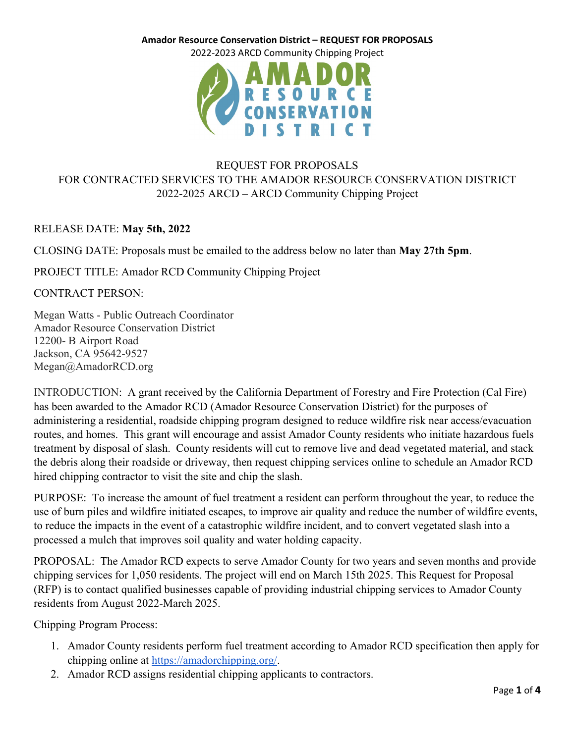2022-2023 ARCD Community Chipping Project



# REQUEST FOR PROPOSALS FOR CONTRACTED SERVICES TO THE AMADOR RESOURCE CONSERVATION DISTRICT 2022-2025 ARCD – ARCD Community Chipping Project

## RELEASE DATE: **May 5th, 2022**

CLOSING DATE: Proposals must be emailed to the address below no later than **May 27th 5pm**.

PROJECT TITLE: Amador RCD Community Chipping Project

CONTRACT PERSON:

Megan Watts - Public Outreach Coordinator Amador Resource Conservation District 12200- B Airport Road Jackson, CA 95642-9527 Megan@AmadorRCD.org

INTRODUCTION: A grant received by the California Department of Forestry and Fire Protection (Cal Fire) has been awarded to the Amador RCD (Amador Resource Conservation District) for the purposes of administering a residential, roadside chipping program designed to reduce wildfire risk near access/evacuation routes, and homes. This grant will encourage and assist Amador County residents who initiate hazardous fuels treatment by disposal of slash. County residents will cut to remove live and dead vegetated material, and stack the debris along their roadside or driveway, then request chipping services online to schedule an Amador RCD hired chipping contractor to visit the site and chip the slash.

PURPOSE: To increase the amount of fuel treatment a resident can perform throughout the year, to reduce the use of burn piles and wildfire initiated escapes, to improve air quality and reduce the number of wildfire events, to reduce the impacts in the event of a catastrophic wildfire incident, and to convert vegetated slash into a processed a mulch that improves soil quality and water holding capacity.

PROPOSAL: The Amador RCD expects to serve Amador County for two years and seven months and provide chipping services for 1,050 residents. The project will end on March 15th 2025. This Request for Proposal (RFP) is to contact qualified businesses capable of providing industrial chipping services to Amador County residents from August 2022-March 2025.

Chipping Program Process:

- 1. Amador County residents perform fuel treatment according to Amador RCD specification then apply for chipping online at [https://amadorchipping.org/.](https://amadorchipping.org/)
- 2. Amador RCD assigns residential chipping applicants to contractors.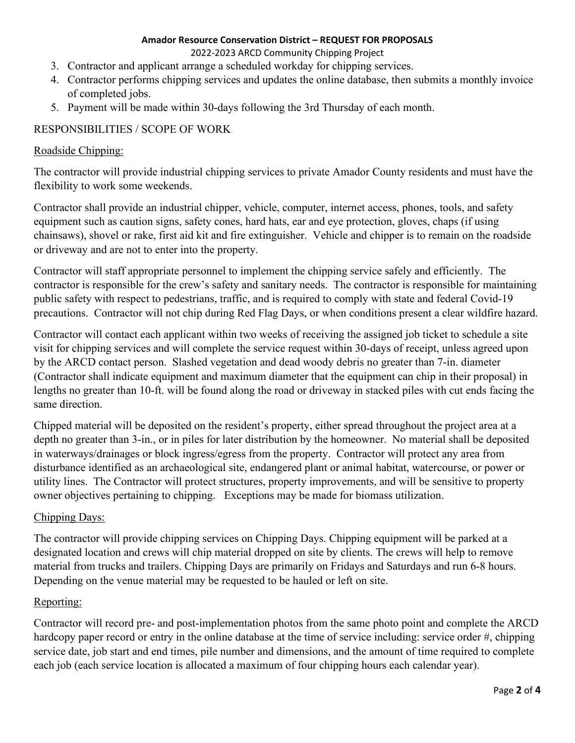2022-2023 ARCD Community Chipping Project

- 3. Contractor and applicant arrange a scheduled workday for chipping services.
- 4. Contractor performs chipping services and updates the online database, then submits a monthly invoice of completed jobs.
- 5. Payment will be made within 30-days following the 3rd Thursday of each month.

## RESPONSIBILITIES / SCOPE OF WORK

## Roadside Chipping:

The contractor will provide industrial chipping services to private Amador County residents and must have the flexibility to work some weekends.

Contractor shall provide an industrial chipper, vehicle, computer, internet access, phones, tools, and safety equipment such as caution signs, safety cones, hard hats, ear and eye protection, gloves, chaps (if using chainsaws), shovel or rake, first aid kit and fire extinguisher. Vehicle and chipper is to remain on the roadside or driveway and are not to enter into the property.

Contractor will staff appropriate personnel to implement the chipping service safely and efficiently. The contractor is responsible for the crew's safety and sanitary needs. The contractor is responsible for maintaining public safety with respect to pedestrians, traffic, and is required to comply with state and federal Covid-19 precautions. Contractor will not chip during Red Flag Days, or when conditions present a clear wildfire hazard.

Contractor will contact each applicant within two weeks of receiving the assigned job ticket to schedule a site visit for chipping services and will complete the service request within 30-days of receipt, unless agreed upon by the ARCD contact person. Slashed vegetation and dead woody debris no greater than 7-in. diameter (Contractor shall indicate equipment and maximum diameter that the equipment can chip in their proposal) in lengths no greater than 10-ft. will be found along the road or driveway in stacked piles with cut ends facing the same direction.

Chipped material will be deposited on the resident's property, either spread throughout the project area at a depth no greater than 3-in., or in piles for later distribution by the homeowner. No material shall be deposited in waterways/drainages or block ingress/egress from the property. Contractor will protect any area from disturbance identified as an archaeological site, endangered plant or animal habitat, watercourse, or power or utility lines. The Contractor will protect structures, property improvements, and will be sensitive to property owner objectives pertaining to chipping. Exceptions may be made for biomass utilization.

## Chipping Days:

The contractor will provide chipping services on Chipping Days. Chipping equipment will be parked at a designated location and crews will chip material dropped on site by clients. The crews will help to remove material from trucks and trailers. Chipping Days are primarily on Fridays and Saturdays and run 6-8 hours. Depending on the venue material may be requested to be hauled or left on site.

## Reporting:

Contractor will record pre- and post-implementation photos from the same photo point and complete the ARCD hardcopy paper record or entry in the online database at the time of service including: service order #, chipping service date, job start and end times, pile number and dimensions, and the amount of time required to complete each job (each service location is allocated a maximum of four chipping hours each calendar year).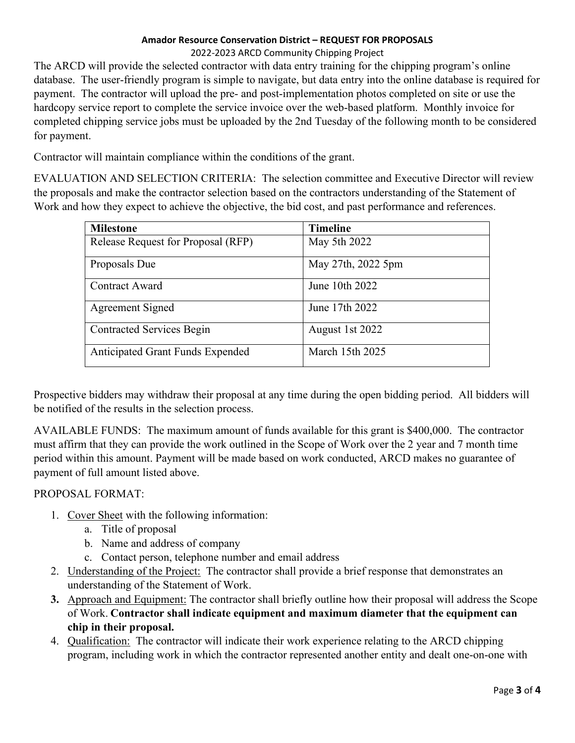#### 2022-2023 ARCD Community Chipping Project

The ARCD will provide the selected contractor with data entry training for the chipping program's online database. The user-friendly program is simple to navigate, but data entry into the online database is required for payment. The contractor will upload the pre- and post-implementation photos completed on site or use the hardcopy service report to complete the service invoice over the web-based platform. Monthly invoice for completed chipping service jobs must be uploaded by the 2nd Tuesday of the following month to be considered for payment.

Contractor will maintain compliance within the conditions of the grant.

EVALUATION AND SELECTION CRITERIA: The selection committee and Executive Director will review the proposals and make the contractor selection based on the contractors understanding of the Statement of Work and how they expect to achieve the objective, the bid cost, and past performance and references.

| <b>Milestone</b>                        | <b>Timeline</b>    |
|-----------------------------------------|--------------------|
| Release Request for Proposal (RFP)      | May 5th 2022       |
| Proposals Due                           | May 27th, 2022 5pm |
| <b>Contract Award</b>                   | June 10th 2022     |
| Agreement Signed                        | June 17th 2022     |
| <b>Contracted Services Begin</b>        | August 1st 2022    |
| <b>Anticipated Grant Funds Expended</b> | March 15th 2025    |

Prospective bidders may withdraw their proposal at any time during the open bidding period. All bidders will be notified of the results in the selection process.

AVAILABLE FUNDS: The maximum amount of funds available for this grant is \$400,000. The contractor must affirm that they can provide the work outlined in the Scope of Work over the 2 year and 7 month time period within this amount. Payment will be made based on work conducted, ARCD makes no guarantee of payment of full amount listed above.

## PROPOSAL FORMAT:

- 1. Cover Sheet with the following information:
	- a. Title of proposal
	- b. Name and address of company
	- c. Contact person, telephone number and email address
- 2. Understanding of the Project: The contractor shall provide a brief response that demonstrates an understanding of the Statement of Work.
- **3.** Approach and Equipment: The contractor shall briefly outline how their proposal will address the Scope of Work. **Contractor shall indicate equipment and maximum diameter that the equipment can chip in their proposal.**
- 4. Qualification: The contractor will indicate their work experience relating to the ARCD chipping program, including work in which the contractor represented another entity and dealt one-on-one with